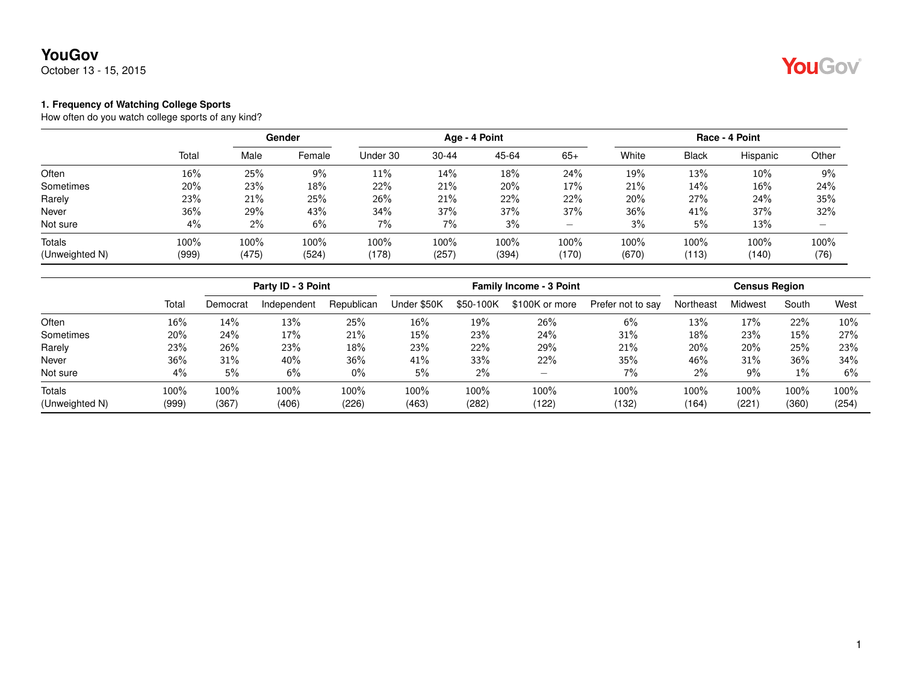October 13 - 15, 2015



### **1. Frequency of Watching College Sports**

How often do you watch college sports of any kind?

|                |       |       | Gender |          | Age - 4 Point |       |       | Race - 4 Point |              |          |                          |
|----------------|-------|-------|--------|----------|---------------|-------|-------|----------------|--------------|----------|--------------------------|
|                | Total | Male  | Female | Under 30 | $30 - 44$     | 45-64 | $65+$ | White          | <b>Black</b> | Hispanic | Other                    |
| Often          | 16%   | 25%   | $9\%$  | 11%      | 14%           | 18%   | 24%   | 19%            | 13%          | 10%      | 9%                       |
| Sometimes      | 20%   | 23%   | 18%    | 22%      | 21%           | 20%   | 17%   | 21%            | 14%          | 16%      | 24%                      |
| Rarely         | 23%   | 21%   | 25%    | 26%      | 21%           | 22%   | 22%   | 20%            | 27%          | 24%      | 35%                      |
| Never          | 36%   | 29%   | 43%    | 34%      | 37%           | 37%   | 37%   | 36%            | 41%          | 37%      | 32%                      |
| Not sure       | 4%    | $2\%$ | 6%     | 7%       | 7%            | 3%    | -     | 3%             | 5%           | 13%      | $\overline{\phantom{0}}$ |
| <b>Totals</b>  | 100%  | 100%  | 100%   | 100%     | 100%          | 100%  | 100%  | 100%           | 100%         | 100%     | 100%                     |
| (Unweighted N) | (999) | (475) | (524)  | (178)    | (257)         | (394) | (170) | (670)          | (113)        | (140)    | (76)                     |

|                |       | Party ID - 3 Point |             |            |             | <b>Census Region</b> |                |                   |           |         |       |       |
|----------------|-------|--------------------|-------------|------------|-------------|----------------------|----------------|-------------------|-----------|---------|-------|-------|
|                | Total | Democrat           | Independent | Republican | Under \$50K | \$50-100K            | \$100K or more | Prefer not to say | Northeast | Midwest | South | West  |
| Often          | 16%   | 14%                | 13%         | 25%        | 16%         | 19%                  | 26%            | 6%                | 13%       | 17%     | 22%   | 10%   |
| Sometimes      | 20%   | 24%                | 17%         | 21%        | 15%         | 23%                  | 24%            | 31%               | 18%       | 23%     | 15%   | 27%   |
| Rarely         | 23%   | 26%                | 23%         | 18%        | 23%         | 22%                  | 29%            | 21%               | 20%       | 20%     | 25%   | 23%   |
| Never          | 36%   | 31%                | 40%         | 36%        | 41%         | 33%                  | 22%            | 35%               | 46%       | 31%     | 36%   | 34%   |
| Not sure       | 4%    | 5%                 | 6%          | $0\%$      | 5%          | 2%                   | -              | $7\%$             | 2%        | 9%      | $1\%$ | 6%    |
| Totals         | 100%  | 100%               | 100%        | 100%       | 100%        | 100%                 | 100%           | 100%              | 100%      | 100%    | 100%  | 100%  |
| (Unweighted N) | (999) | (367)              | (406)       | (226)      | (463)       | (282)                | (122)          | (132)             | (164)     | (221)   | (360) | (254) |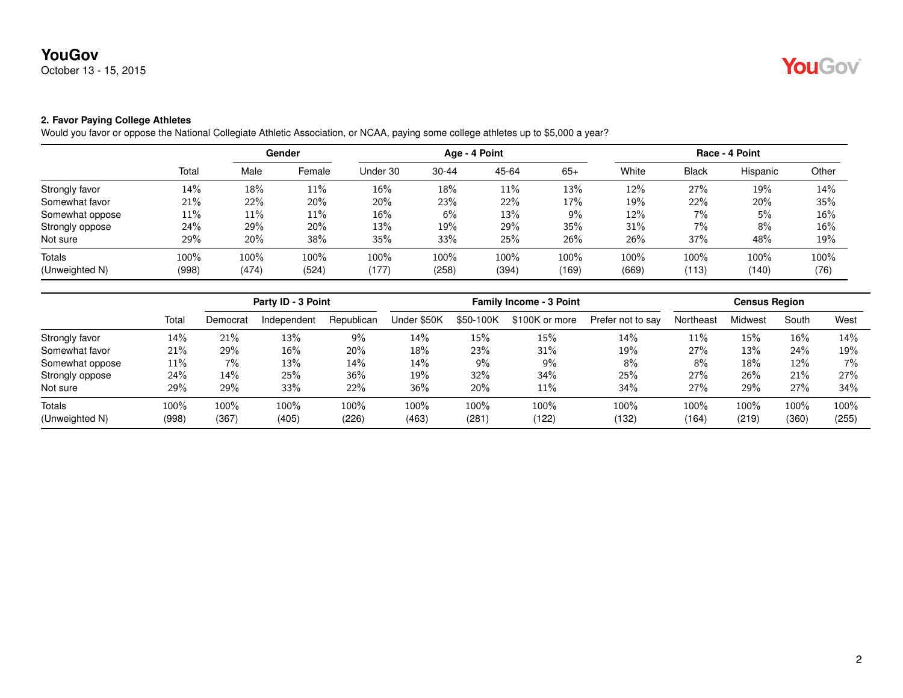October 13 - 15, 2015

### **2. Favor Paying College Athletes**

Would you favor or oppose the National Collegiate Athletic Association, or NCAA, paying some college athletes up to \$5,000 a year?

|                 |       | Gender |        |          | Age - 4 Point |       |       | Race - 4 Point |              |          |       |
|-----------------|-------|--------|--------|----------|---------------|-------|-------|----------------|--------------|----------|-------|
|                 | Total | Male   | Female | Under 30 | $30 - 44$     | 45-64 | $65+$ | White          | <b>Black</b> | Hispanic | Other |
| Strongly favor  | 14%   | 18%    | 11%    | 16%      | 18%           | 11%   | 13%   | 12%            | 27%          | 19%      | 14%   |
| Somewhat favor  | 21%   | 22%    | 20%    | 20%      | 23%           | 22%   | 17%   | 19%            | 22%          | 20%      | 35%   |
| Somewhat oppose | 11%   | 11%    | $11\%$ | 16%      | 6%            | 13%   | 9%    | 12%            | $7\%$        | 5%       | 16%   |
| Strongly oppose | 24%   | 29%    | 20%    | 13%      | 19%           | 29%   | 35%   | 31%            | 7%           | 8%       | 16%   |
| Not sure        | 29%   | 20%    | 38%    | 35%      | 33%           | 25%   | 26%   | 26%            | 37%          | 48%      | 19%   |
| Totals          | 100%  | 100%   | 100%   | 100%     | 100%          | 100%  | 100%  | 100%           | 100%         | 100%     | 100%  |
| (Unweighted N)  | (998) | (474)  | (524)  | (177)    | (258)         | (394) | (169) | (669)          | (113)        | (140)    | (76)  |

|                                 |               |               | Party ID - 3 Point |               |               | <b>Family Income - 3 Point</b> |                  |                   |               |               | <b>Census Region</b> |                  |  |  |
|---------------------------------|---------------|---------------|--------------------|---------------|---------------|--------------------------------|------------------|-------------------|---------------|---------------|----------------------|------------------|--|--|
|                                 | Total         | Democrat      | Independent        | Republican    | Under \$50K   | \$50-100K                      | \$100K or more   | Prefer not to say | Northeast     | Midwest       | South                | West             |  |  |
| Strongly favor                  | 14%           | 21%           | 13%                | 9%            | 14%           | 15%                            | 15%              | 14%               | $11\%$        | 15%           | 16%                  | 14%              |  |  |
| Somewhat favor                  | 21%           | 29%           | 16%                | 20%           | 18%           | 23%                            | 31%              | 19%               | 27%           | 13%           | 24%                  | 19%              |  |  |
| Somewhat oppose                 | 11%           | $7\%$         | 13%                | 14%           | 14%           | 9%                             | $9\%$            | 8%                | 8%            | 18%           | 12%                  | $7\%$            |  |  |
| Strongly oppose                 | 24%           | 14%           | 25%                | 36%           | 19%           | 32%                            | 34%              | 25%               | 27%           | 26%           | 21%                  | 27%              |  |  |
| Not sure                        | 29%           | 29%           | 33%                | 22%           | 36%           | 20%                            | 11%              | 34%               | 27%           | 29%           | 27%                  | 34%              |  |  |
| <b>Totals</b><br>(Unweighted N) | 100%<br>(998) | 100%<br>(367) | 100%<br>(405)      | 100%<br>(226) | 100%<br>(463) | $100\%$<br>(281)               | $100\%$<br>(122) | 100%<br>(132)     | 100%<br>(164) | 100%<br>(219) | $100\%$<br>(360)     | $100\%$<br>(255) |  |  |

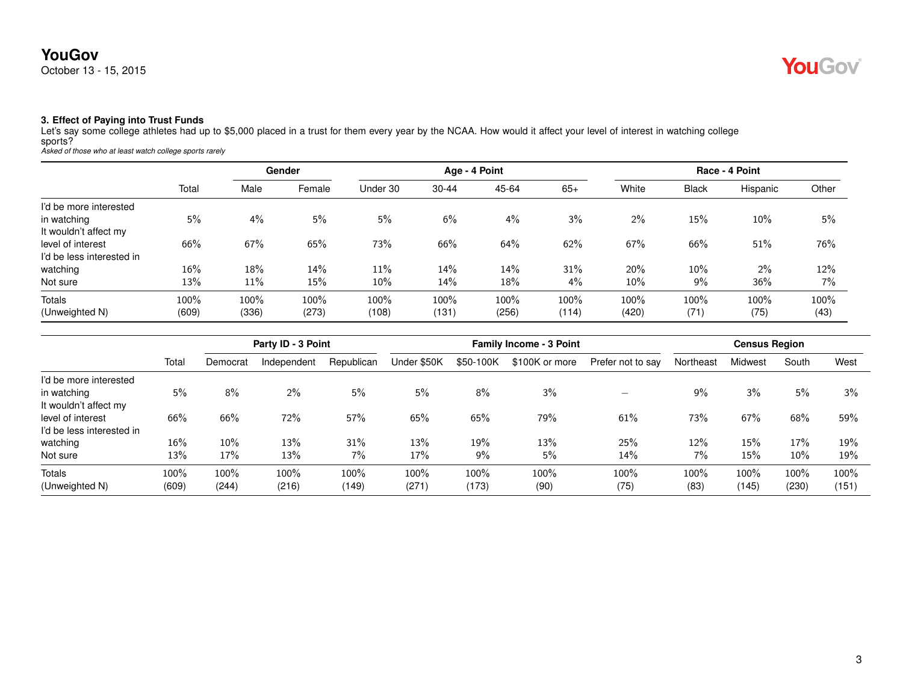

#### **3. Effect of Paying into Trust Funds**

Let's say some college athletes had up to \$5,000 placed in a trust for them every year by the NCAA. How would it affect your level of interest in watching college sports? *Asked of those who at least watch college sports rarely*

|                           |       | Gender |        | Age - 4 Point |           |       |       |        | Race - 4 Point |          |       |  |
|---------------------------|-------|--------|--------|---------------|-----------|-------|-------|--------|----------------|----------|-------|--|
|                           | Total | Male   | Female | Under 30      | $30 - 44$ | 45-64 | $65+$ | White  | <b>Black</b>   | Hispanic | Other |  |
| I'd be more interested    |       |        |        |               |           |       |       |        |                |          |       |  |
| in watching               | 5%    | 4%     | 5%     | 5%            | 6%        | 4%    | 3%    | 2%     | 15%            | 10%      | 5%    |  |
| It wouldn't affect my     |       |        |        |               |           |       |       |        |                |          |       |  |
| level of interest         | 66%   | 67%    | 65%    | 73%           | 66%       | 64%   | 62%   | 67%    | 66%            | 51%      | 76%   |  |
| I'd be less interested in |       |        |        |               |           |       |       |        |                |          |       |  |
| watching                  | 16%   | 18%    | 14%    | 11%           | 14%       | 14%   | 31%   | 20%    | 10%            | $2\%$    | 12%   |  |
| Not sure                  | 13%   | 11%    | 15%    | 10%           | 14%       | 18%   | $4\%$ | $10\%$ | 9%             | 36%      | 7%    |  |
| <b>Totals</b>             | 100%  | 100%   | 100%   | 100%          | 100%      | 100%  | 100%  | 100%   | 100%           | 100%     | 100%  |  |
| (Unweighted N)            | (609) | (336)  | (273)  | (108)         | (131)     | (256) | (114) | (420)  | (71)           | (75)     | (43)  |  |

|                           |        | Party ID - 3 Point |             |            |             | <b>Family Income - 3 Point</b> | <b>Census Region</b> |                   |           |                |       |       |
|---------------------------|--------|--------------------|-------------|------------|-------------|--------------------------------|----------------------|-------------------|-----------|----------------|-------|-------|
|                           | Total  | Democrat           | Independent | Republican | Under \$50K | \$50-100K                      | \$100K or more       | Prefer not to say | Northeast | <b>Midwest</b> | South | West  |
| I'd be more interested    |        |                    |             |            |             |                                |                      |                   |           |                |       |       |
| in watching               | 5%     | 8%                 | $2\%$       | 5%         | 5%          | 8%                             | 3%                   |                   | $9\%$     | 3%             | 5%    | 3%    |
| It wouldn't affect my     |        |                    |             |            |             |                                |                      |                   |           |                |       |       |
| level of interest         | 66%    | 66%                | 72%         | 57%        | 65%         | 65%                            | 79%                  | 61%               | 73%       | 67%            | 68%   | 59%   |
| I'd be less interested in |        |                    |             |            |             |                                |                      |                   |           |                |       |       |
| watching                  | $16\%$ | 10%                | 13%         | 31%        | 13%         | 19%                            | 13%                  | 25%               | $12\%$    | 15%            | 17%   | 19%   |
| Not sure                  | 13%    | 17%                | 13%         | 7%         | 17%         | 9%                             | 5%                   | 14%               | 7%        | 15%            | 10%   | 19%   |
| Totals                    | 100%   | 100%               | 100%        | 100%       | 100%        | 100%                           | 100%                 | 100%              | 100%      | 100%           | 100%  | 100%  |
| (Unweighted N)            | (609)  | (244)              | (216)       | (149)      | (271)       | (173)                          | (90)                 | (75)              | (83)      | (145)          | (230) | (151) |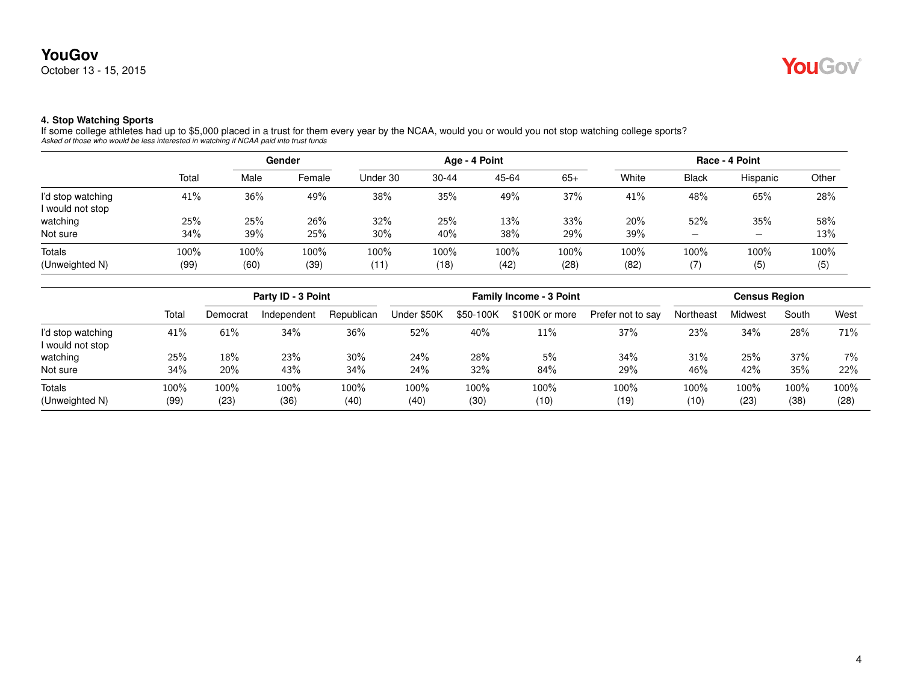

#### **4. Stop Watching Sports**

If some college athletes had up to \$5,000 placed in a trust for them every year by the NCAA, would you or would you not stop watching college sports?<br>Asked of those who would be less interested in watching if NCAA paid int

|                                       |              | Gender       |              |              | Age - 4 Point |              |              | Race - 4 Point |                                                                           |                          |             |
|---------------------------------------|--------------|--------------|--------------|--------------|---------------|--------------|--------------|----------------|---------------------------------------------------------------------------|--------------------------|-------------|
|                                       | Total        | Male         | Female       | Under 30     | $30 - 44$     | 45-64        | $65+$        | White          | <b>Black</b>                                                              | Hispanic                 | Other       |
| I'd stop watching<br>I would not stop | 41%          | 36%          | 49%          | 38%          | 35%           | 49%          | 37%          | 41%            | 48%                                                                       | 65%                      | 28%         |
| watching                              | 25%          | 25%          | 26%          | 32%          | 25%           | 13%          | 33%          | 20%            | 52%                                                                       | 35%                      | 58%         |
| Not sure                              | 34%          | 39%          | 25%          | 30%          | 40%           | 38%          | 29%          | 39%            | $\hspace{1.0cm} \rule{1.5cm}{0.15cm} \hspace{1.0cm} \rule{1.5cm}{0.15cm}$ | $\overline{\phantom{0}}$ | 13%         |
| <b>Totals</b><br>(Unweighted N)       | 100%<br>(99) | 100%<br>(60) | 100%<br>(39) | 100%<br>(11) | 100%<br>(18)  | 100%<br>(42) | 100%<br>(28) | 100%<br>(82)   | 100%<br>(7)                                                               | 100%<br>(5)              | 100%<br>(5) |

|                                       |              | Party ID - 3 Point |              |              |              | <b>Census Region</b> |                |                   |              |              |                 |              |
|---------------------------------------|--------------|--------------------|--------------|--------------|--------------|----------------------|----------------|-------------------|--------------|--------------|-----------------|--------------|
|                                       | Total        | Democrat           | Independent  | Republican   | Under \$50K  | \$50-100K            | \$100K or more | Prefer not to say | Northeast    | Midwest      | South           | West         |
| I'd stop watching<br>I would not stop | 41%          | 61%                | 34%          | 36%          | 52%          | 40%                  | 11%            | 37%               | 23%          | 34%          | 28%             | 71%          |
| watching                              | 25%          | 18%                | 23%          | 30%          | 24%          | 28%                  | 5%             | 34%               | 31%          | 25%          | 37%             | $7\%$        |
| Not sure                              | 34%          | 20%                | 43%          | 34%          | 24%          | 32%                  | 84%            | 29%               | 46%          | 42%          | 35%             | 22%          |
| Totals<br>(Unweighted N)              | 100%<br>(99) | 100%<br>(23)       | 100%<br>(36) | 100%<br>(40) | 100%<br>(40) | 100%<br>(30)         | 100%<br>(10)   | 100%<br>(19)      | 100%<br>(10) | 100%<br>(23) | $100\%$<br>(38) | 100%<br>(28) |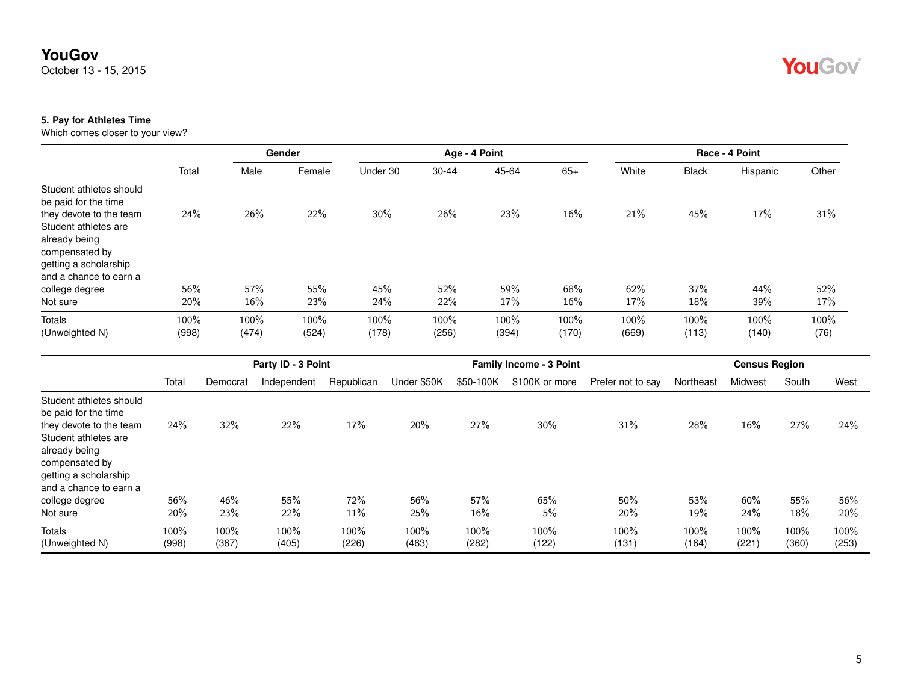October 13 - 15, 2015

## YouGov

#### **5. Pay for Athletes Time**

Which comes closer to your view?

|                                                                                                            |       |       | Gender |          | Age - 4 Point |       |       |       |              | Race - 4 Point |       |
|------------------------------------------------------------------------------------------------------------|-------|-------|--------|----------|---------------|-------|-------|-------|--------------|----------------|-------|
|                                                                                                            | Total | Male  | Female | Under 30 | $30 - 44$     | 45-64 | $65+$ | White | <b>Black</b> | Hispanic       | Other |
| Student athletes should<br>be paid for the time<br>they devote to the team                                 | 24%   | 26%   | 22%    | 30%      | 26%           | 23%   | 16%   | 21%   | 45%          | 17%            | 31%   |
| Student athletes are<br>already being<br>compensated by<br>getting a scholarship<br>and a chance to earn a |       |       |        |          |               |       |       |       |              |                |       |
| college degree                                                                                             | 56%   | 57%   | 55%    | 45%      | 52%           | 59%   | 68%   | 62%   | 37%          | 44%            | 52%   |
| Not sure                                                                                                   | 20%   | 16%   | 23%    | 24%      | 22%           | 17%   | 16%   | 17%   | 18%          | 39%            | 17%   |
| Totals                                                                                                     | 100%  | 100%  | 100%   | 100%     | 100%          | 100%  | 100%  | 100%  | 100%         | 100%           | 100%  |
| (Unweighted N)                                                                                             | (998) | (474) | (524)  | (178)    | (256)         | (394) | (170) | (669) | (113)        | (140)          | (76)  |

|                                                                                                                                                                |               |               | Party ID - 3 Point |               |               | <b>Family Income - 3 Point</b> | <b>Census Region</b> |                   |               |               |               |               |
|----------------------------------------------------------------------------------------------------------------------------------------------------------------|---------------|---------------|--------------------|---------------|---------------|--------------------------------|----------------------|-------------------|---------------|---------------|---------------|---------------|
|                                                                                                                                                                | Total         | Democrat      | Independent        | Republican    | Under \$50K   | \$50-100K                      | \$100K or more       | Prefer not to say | Northeast     | Midwest       | South         | West          |
| Student athletes should<br>be paid for the time<br>they devote to the team<br>Student athletes are<br>already being<br>compensated by<br>getting a scholarship | 24%           | 32%           | 22%                | 17%           | 20%           | 27%                            | 30%                  | 31%               | 28%           | $16\%$        | 27%           | 24%           |
| and a chance to earn a<br>college degree                                                                                                                       | 56%           | 46%           | 55%                | 72%           | 56%           | 57%                            | 65%                  | 50%               | 53%           | 60%           | 55%           | 56%           |
| Not sure                                                                                                                                                       | 20%           | 23%           | 22%                | 11%           | 25%           | 16%                            | 5%                   | 20%               | 19%           | 24%           | 18%           | 20%           |
| Totals<br>(Unweighted N)                                                                                                                                       | 100%<br>(998) | 100%<br>(367) | 100%<br>(405)      | 100%<br>(226) | 100%<br>(463) | 100%<br>(282)                  | 100%<br>(122)        | 100%<br>(131)     | 100%<br>(164) | 100%<br>(221) | 100%<br>(360) | 100%<br>(253) |